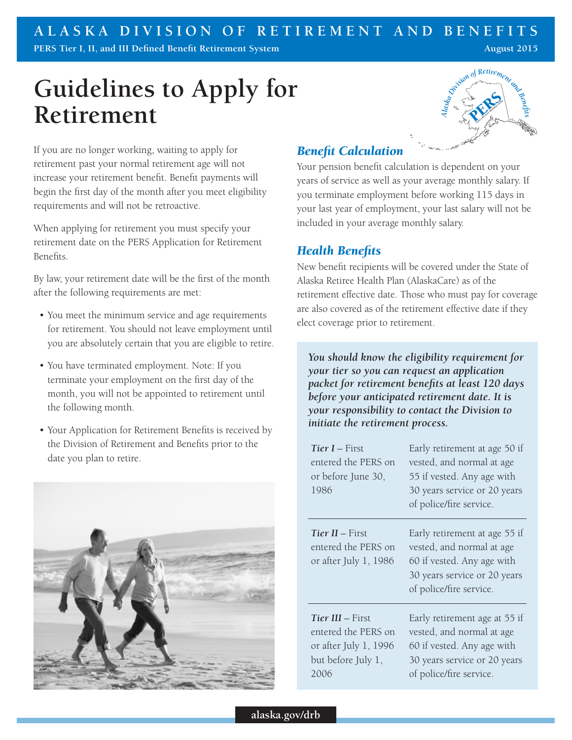# **Guidelines to Apply for Retirement**

If you are no longer working, waiting to apply for retirement past your normal retirement age will not increase your retirement benefit. Benefit payments will begin the first day of the month after you meet eligibility requirements and will not be retroactive.

When applying for retirement you must specify your retirement date on the PERS Application for Retirement Benefits.

By law, your retirement date will be the first of the month after the following requirements are met:

- You meet the minimum service and age requirements for retirement. You should not leave employment until you are absolutely certain that you are eligible to retire.
- You have terminated employment. Note: If you terminate your employment on the first day of the month, you will not be appointed to retirement until the following month.
- Your Application for Retirement Benefits is received by the Division of Retirement and Benefits prior to the date you plan to retire.



# *Alaska* ion of Retirement PERS 2

## *Benefit Calculation*

Your pension benefit calculation is dependent on your years of service as well as your average monthly salary. If you terminate employment before working 115 days in your last year of employment, your last salary will not be included in your average monthly salary.

## *Health Benefits*

New benefit recipients will be covered under the State of Alaska Retiree Health Plan (AlaskaCare) as of the retirement effective date. Those who must pay for coverage are also covered as of the retirement effective date if they elect coverage prior to retirement.

*You should know the eligibility requirement for your tier so you can request an application packet for retirement benefits at least 120 days before your anticipated retirement date. It is your responsibility to contact the Division to initiate the retirement process.* 

| Tier I – First<br>entered the PERS on<br>or before June 30,<br>1986                            | Early retirement at age 50 if<br>vested, and normal at age<br>55 if vested. Any age with<br>30 years service or 20 years<br>of police/fire service. |
|------------------------------------------------------------------------------------------------|-----------------------------------------------------------------------------------------------------------------------------------------------------|
| Tier $H$ – First<br>entered the PERS on<br>or after July 1, 1986                               | Early retirement at age 55 if<br>vested, and normal at age<br>60 if vested. Any age with<br>30 years service or 20 years<br>of police/fire service. |
| Tier III – First<br>entered the PERS on<br>or after July 1, 1996<br>but before July 1,<br>2006 | Early retirement age at 55 if<br>vested, and normal at age<br>60 if vested. Any age with<br>30 years service or 20 years<br>of police/fire service. |

**alaska.gov/drb**